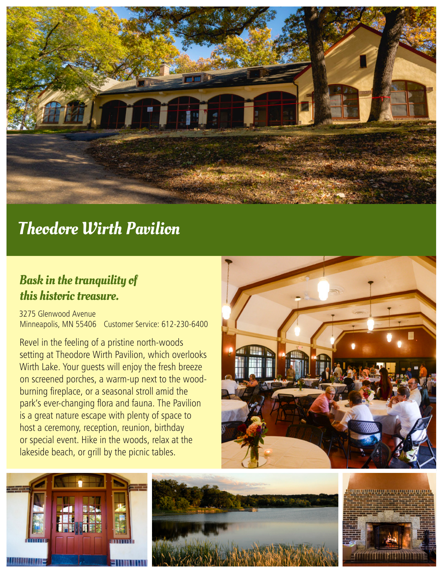

# Theodore Wirth Pavilion

## Bask in the tranquility of this historic treasure.

3275 Glenwood Avenue Minneapolis, MN 55406 Customer Service: 612-230-6400

Revel in the feeling of a pristine north-woods setting at Theodore Wirth Pavilion, which overlooks Wirth Lake. Your guests will enjoy the fresh breeze on screened porches, a warm-up next to the woodburning fireplace, or a seasonal stroll amid the park's ever-changing flora and fauna. The Pavilion is a great nature escape with plenty of space to host a ceremony, reception, reunion, birthday or special event. Hike in the woods, relax at the lakeside beach, or grill by the picnic tables.